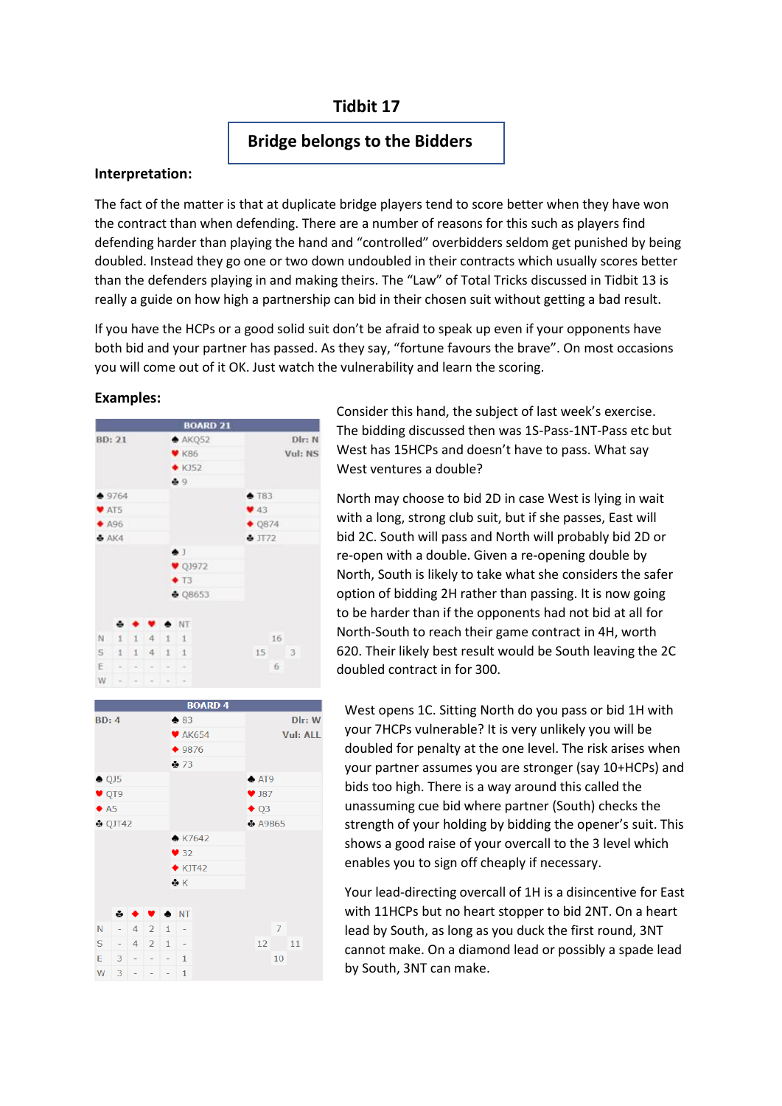# **Tidbit 17**

## **Bridge belongs to the Bidders**

#### **Interpretation:**

The fact of the matter is that at duplicate bridge players tend to score better when they have won the contract than when defending. There are a number of reasons for this such as players find defending harder than playing the hand and "controlled" overbidders seldom get punished by being doubled. Instead they go one or two down undoubled in their contracts which usually scores better than the defenders playing in and making theirs. The "Law" of Total Tricks discussed in Tidbit 13 is really a guide on how high a partnership can bid in their chosen suit without getting a bad result.

If you have the HCPs or a good solid suit don't be afraid to speak up even if your opponents have both bid and your partner has passed. As they say, "fortune favours the brave". On most occasions you will come out of it OK. Just watch the vulnerability and learn the scoring.

#### **Examples:**





Consider this hand, the subject of last week's exercise. The bidding discussed then was 1S-Pass-1NT-Pass etc but West has 15HCPs and doesn't have to pass. What say West ventures a double?

North may choose to bid 2D in case West is lying in wait with a long, strong club suit, but if she passes, East will bid 2C. South will pass and North will probably bid 2D or re-open with a double. Given a re-opening double by North, South is likely to take what she considers the safer option of bidding 2H rather than passing. It is now going to be harder than if the opponents had not bid at all for North-South to reach their game contract in 4H, worth 620. Their likely best result would be South leaving the 2C doubled contract in for 300.

West opens 1C. Sitting North do you pass or bid 1H with your 7HCPs vulnerable? It is very unlikely you will be doubled for penalty at the one level. The risk arises when your partner assumes you are stronger (say 10+HCPs) and bids too high. There is a way around this called the unassuming cue bid where partner (South) checks the strength of your holding by bidding the opener's suit. This shows a good raise of your overcall to the 3 level which enables you to sign off cheaply if necessary.

Your lead-directing overcall of 1H is a disincentive for East with 11HCPs but no heart stopper to bid 2NT. On a heart lead by South, as long as you duck the first round, 3NT cannot make. On a diamond lead or possibly a spade lead by South, 3NT can make.